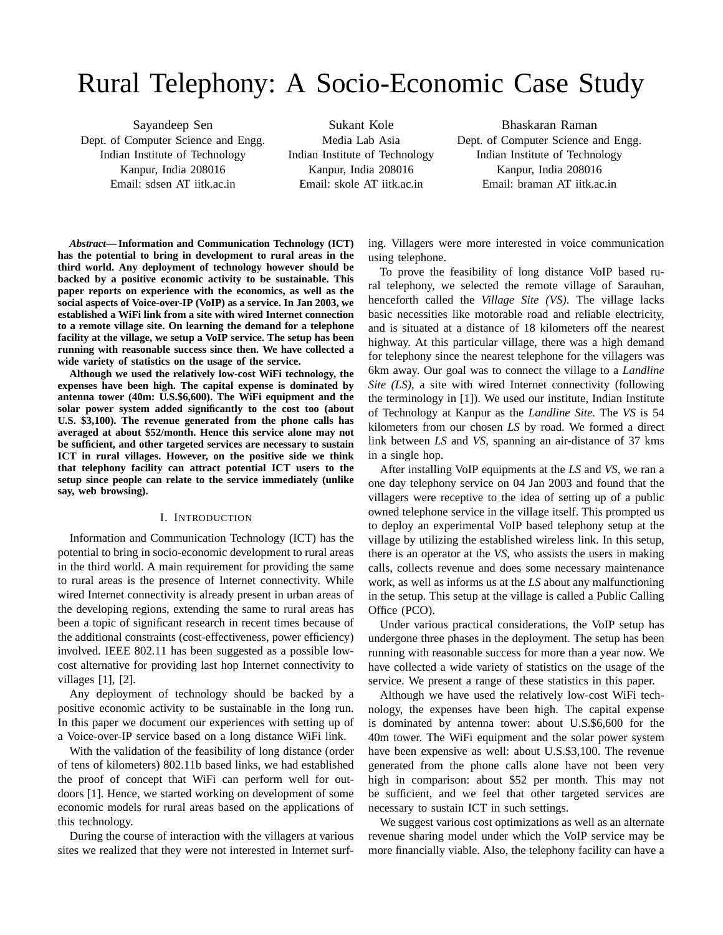# Rural Telephony: A Socio-Economic Case Study

Sayandeep Sen Dept. of Computer Science and Engg. Indian Institute of Technology Kanpur, India 208016 Email: sdsen AT iitk.ac.in

Sukant Kole Media Lab Asia Indian Institute of Technology Kanpur, India 208016 Email: skole AT iitk.ac.in

Bhaskaran Raman Dept. of Computer Science and Engg. Indian Institute of Technology Kanpur, India 208016 Email: braman AT iitk.ac.in

*Abstract***—Information and Communication Technology (ICT) has the potential to bring in development to rural areas in the third world. Any deployment of technology however should be backed by a positive economic activity to be sustainable. This paper reports on experience with the economics, as well as the social aspects of Voice-over-IP (VoIP) as a service. In Jan 2003, we established a WiFi link from a site with wired Internet connection to a remote village site. On learning the demand for a telephone facility at the village, we setup a VoIP service. The setup has been running with reasonable success since then. We have collected a wide variety of statistics on the usage of the service.**

**Although we used the relatively low-cost WiFi technology, the expenses have been high. The capital expense is dominated by antenna tower (40m: U.S.\$6,600). The WiFi equipment and the solar power system added significantly to the cost too (about U.S. \$3,100). The revenue generated from the phone calls has averaged at about \$52/month. Hence this service alone may not be sufficient, and other targeted services are necessary to sustain ICT in rural villages. However, on the positive side we think that telephony facility can attract potential ICT users to the setup since people can relate to the service immediately (unlike say, web browsing).**

## I. INTRODUCTION

Information and Communication Technology (ICT) has the potential to bring in socio-economic development to rural areas in the third world. A main requirement for providing the same to rural areas is the presence of Internet connectivity. While wired Internet connectivity is already present in urban areas of the developing regions, extending the same to rural areas has been a topic of significant research in recent times because of the additional constraints (cost-effectiveness, power efficiency) involved. IEEE 802.11 has been suggested as a possible lowcost alternative for providing last hop Internet connectivity to villages [1], [2].

Any deployment of technology should be backed by a positive economic activity to be sustainable in the long run. In this paper we document our experiences with setting up of a Voice-over-IP service based on a long distance WiFi link.

With the validation of the feasibility of long distance (order of tens of kilometers) 802.11b based links, we had established the proof of concept that WiFi can perform well for outdoors [1]. Hence, we started working on development of some economic models for rural areas based on the applications of this technology.

During the course of interaction with the villagers at various sites we realized that they were not interested in Internet surfing. Villagers were more interested in voice communication using telephone.

To prove the feasibility of long distance VoIP based rural telephony, we selected the remote village of Sarauhan, henceforth called the *Village Site (VS)*. The village lacks basic necessities like motorable road and reliable electricity, and is situated at a distance of 18 kilometers off the nearest highway. At this particular village, there was a high demand for telephony since the nearest telephone for the villagers was 6km away. Our goal was to connect the village to a *Landline Site (LS)*, a site with wired Internet connectivity (following the terminology in [1]). We used our institute, Indian Institute of Technology at Kanpur as the *Landline Site*. The *VS* is 54 kilometers from our chosen *LS* by road. We formed a direct link between *LS* and *VS*, spanning an air-distance of 37 kms in a single hop.

After installing VoIP equipments at the *LS* and *VS*, we ran a one day telephony service on 04 Jan 2003 and found that the villagers were receptive to the idea of setting up of a public owned telephone service in the village itself. This prompted us to deploy an experimental VoIP based telephony setup at the village by utilizing the established wireless link. In this setup, there is an operator at the *VS*, who assists the users in making calls, collects revenue and does some necessary maintenance work, as well as informs us at the *LS* about any malfunctioning in the setup. This setup at the village is called a Public Calling Office (PCO).

Under various practical considerations, the VoIP setup has undergone three phases in the deployment. The setup has been running with reasonable success for more than a year now. We have collected a wide variety of statistics on the usage of the service. We present a range of these statistics in this paper.

Although we have used the relatively low-cost WiFi technology, the expenses have been high. The capital expense is dominated by antenna tower: about U.S.\$6,600 for the 40m tower. The WiFi equipment and the solar power system have been expensive as well: about U.S.\$3,100. The revenue generated from the phone calls alone have not been very high in comparison: about \$52 per month. This may not be sufficient, and we feel that other targeted services are necessary to sustain ICT in such settings.

We suggest various cost optimizations as well as an alternate revenue sharing model under which the VoIP service may be more financially viable. Also, the telephony facility can have a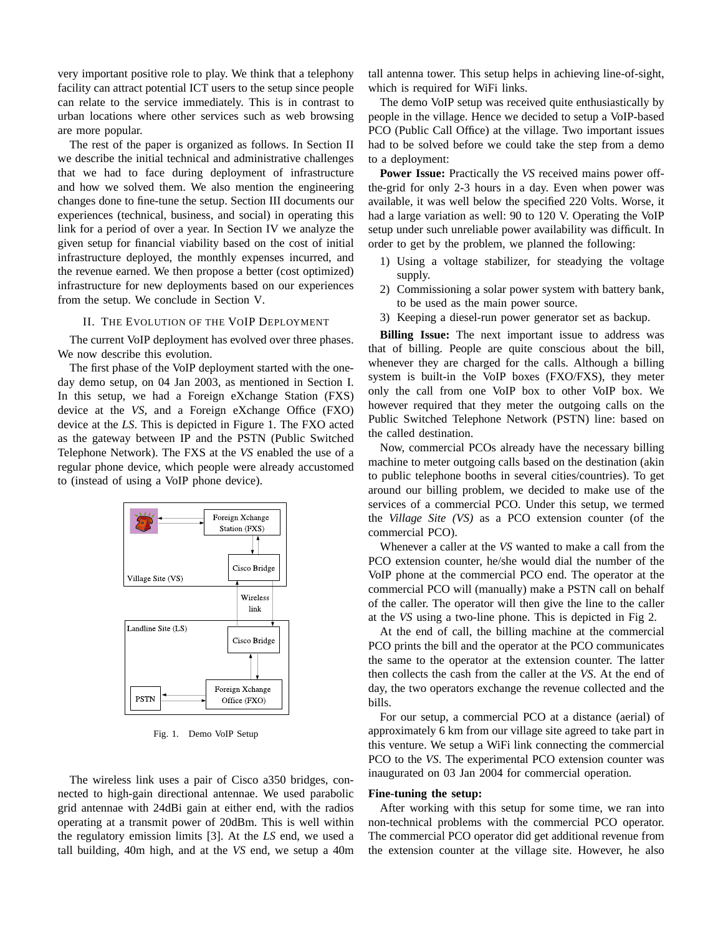very important positive role to play. We think that a telephony facility can attract potential ICT users to the setup since people can relate to the service immediately. This is in contrast to urban locations where other services such as web browsing are more popular.

The rest of the paper is organized as follows. In Section II we describe the initial technical and administrative challenges that we had to face during deployment of infrastructure and how we solved them. We also mention the engineering changes done to fine-tune the setup. Section III documents our experiences (technical, business, and social) in operating this link for a period of over a year. In Section IV we analyze the given setup for financial viability based on the cost of initial infrastructure deployed, the monthly expenses incurred, and the revenue earned. We then propose a better (cost optimized) infrastructure for new deployments based on our experiences from the setup. We conclude in Section V.

## II. THE EVOLUTION OF THE VOIP DEPLOYMENT

The current VoIP deployment has evolved over three phases. We now describe this evolution.

The first phase of the VoIP deployment started with the oneday demo setup, on 04 Jan 2003, as mentioned in Section I. In this setup, we had a Foreign eXchange Station (FXS) device at the *VS*, and a Foreign eXchange Office (FXO) device at the *LS*. This is depicted in Figure 1. The FXO acted as the gateway between IP and the PSTN (Public Switched Telephone Network). The FXS at the *VS* enabled the use of a regular phone device, which people were already accustomed to (instead of using a VoIP phone device).



Fig. 1. Demo VoIP Setup

The wireless link uses a pair of Cisco a350 bridges, connected to high-gain directional antennae. We used parabolic grid antennae with 24dBi gain at either end, with the radios operating at a transmit power of 20dBm. This is well within the regulatory emission limits [3]. At the *LS* end, we used a tall building, 40m high, and at the *VS* end, we setup a 40m tall antenna tower. This setup helps in achieving line-of-sight, which is required for WiFi links.

The demo VoIP setup was received quite enthusiastically by people in the village. Hence we decided to setup a VoIP-based PCO (Public Call Office) at the village. Two important issues had to be solved before we could take the step from a demo to a deployment:

**Power Issue:** Practically the *VS* received mains power offthe-grid for only 2-3 hours in a day. Even when power was available, it was well below the specified 220 Volts. Worse, it had a large variation as well: 90 to 120 V. Operating the VoIP setup under such unreliable power availability was difficult. In order to get by the problem, we planned the following:

- 1) Using a voltage stabilizer, for steadying the voltage supply.
- 2) Commissioning a solar power system with battery bank, to be used as the main power source.
- 3) Keeping a diesel-run power generator set as backup.

**Billing Issue:** The next important issue to address was that of billing. People are quite conscious about the bill, whenever they are charged for the calls. Although a billing system is built-in the VoIP boxes (FXO/FXS), they meter only the call from one VoIP box to other VoIP box. We however required that they meter the outgoing calls on the Public Switched Telephone Network (PSTN) line: based on the called destination.

Now, commercial PCOs already have the necessary billing machine to meter outgoing calls based on the destination (akin to public telephone booths in several cities/countries). To get around our billing problem, we decided to make use of the services of a commercial PCO. Under this setup, we termed the *Village Site (VS)* as a PCO extension counter (of the commercial PCO).

Whenever a caller at the *VS* wanted to make a call from the PCO extension counter, he/she would dial the number of the VoIP phone at the commercial PCO end. The operator at the commercial PCO will (manually) make a PSTN call on behalf of the caller. The operator will then give the line to the caller at the *VS* using a two-line phone. This is depicted in Fig 2.

At the end of call, the billing machine at the commercial PCO prints the bill and the operator at the PCO communicates the same to the operator at the extension counter. The latter then collects the cash from the caller at the *VS*. At the end of day, the two operators exchange the revenue collected and the bills.

For our setup, a commercial PCO at a distance (aerial) of approximately 6 km from our village site agreed to take part in this venture. We setup a WiFi link connecting the commercial PCO to the *VS*. The experimental PCO extension counter was inaugurated on 03 Jan 2004 for commercial operation.

## **Fine-tuning the setup:**

After working with this setup for some time, we ran into non-technical problems with the commercial PCO operator. The commercial PCO operator did get additional revenue from the extension counter at the village site. However, he also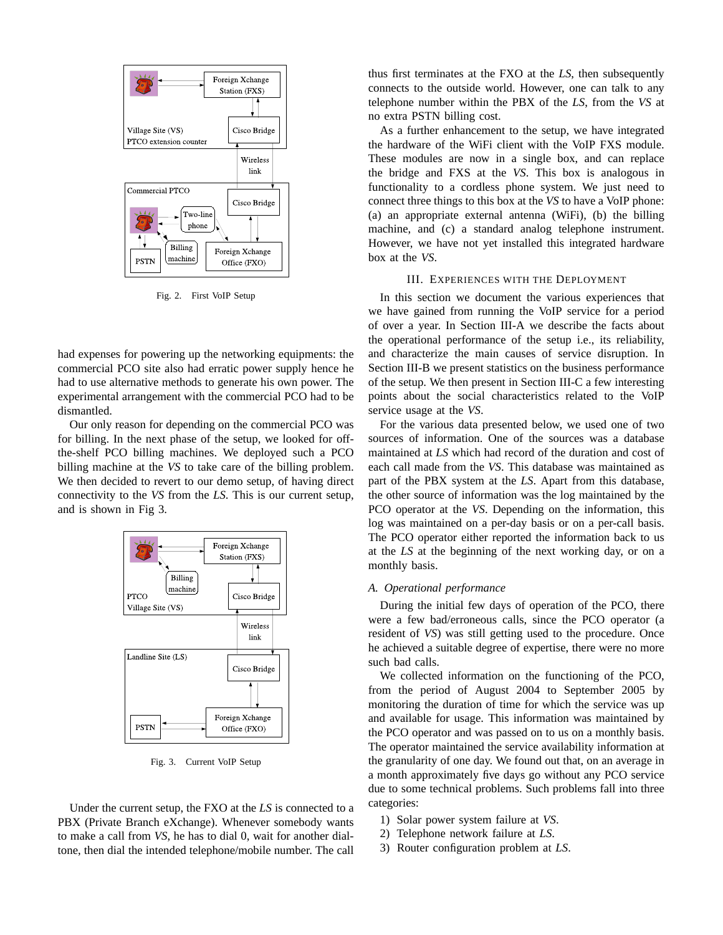

Fig. 2. First VoIP Setup

had expenses for powering up the networking equipments: the commercial PCO site also had erratic power supply hence he had to use alternative methods to generate his own power. The experimental arrangement with the commercial PCO had to be dismantled.

Our only reason for depending on the commercial PCO was for billing. In the next phase of the setup, we looked for offthe-shelf PCO billing machines. We deployed such a PCO billing machine at the *VS* to take care of the billing problem. We then decided to revert to our demo setup, of having direct connectivity to the *VS* from the *LS*. This is our current setup, and is shown in Fig 3.



Fig. 3. Current VoIP Setup

Under the current setup, the FXO at the *LS* is connected to a PBX (Private Branch eXchange). Whenever somebody wants to make a call from *VS*, he has to dial 0, wait for another dialtone, then dial the intended telephone/mobile number. The call thus first terminates at the FXO at the *LS*, then subsequently connects to the outside world. However, one can talk to any telephone number within the PBX of the *LS*, from the *VS* at no extra PSTN billing cost.

As a further enhancement to the setup, we have integrated the hardware of the WiFi client with the VoIP FXS module. These modules are now in a single box, and can replace the bridge and FXS at the *VS*. This box is analogous in functionality to a cordless phone system. We just need to connect three things to this box at the *VS* to have a VoIP phone: (a) an appropriate external antenna (WiFi), (b) the billing machine, and (c) a standard analog telephone instrument. However, we have not yet installed this integrated hardware box at the *VS*.

## III. EXPERIENCES WITH THE DEPLOYMENT

In this section we document the various experiences that we have gained from running the VoIP service for a period of over a year. In Section III-A we describe the facts about the operational performance of the setup i.e., its reliability, and characterize the main causes of service disruption. In Section III-B we present statistics on the business performance of the setup. We then present in Section III-C a few interesting points about the social characteristics related to the VoIP service usage at the *VS*.

For the various data presented below, we used one of two sources of information. One of the sources was a database maintained at *LS* which had record of the duration and cost of each call made from the *VS*. This database was maintained as part of the PBX system at the *LS*. Apart from this database, the other source of information was the log maintained by the PCO operator at the *VS*. Depending on the information, this log was maintained on a per-day basis or on a per-call basis. The PCO operator either reported the information back to us at the *LS* at the beginning of the next working day, or on a monthly basis.

#### *A. Operational performance*

During the initial few days of operation of the PCO, there were a few bad/erroneous calls, since the PCO operator (a resident of *VS*) was still getting used to the procedure. Once he achieved a suitable degree of expertise, there were no more such bad calls.

We collected information on the functioning of the PCO, from the period of August 2004 to September 2005 by monitoring the duration of time for which the service was up and available for usage. This information was maintained by the PCO operator and was passed on to us on a monthly basis. The operator maintained the service availability information at the granularity of one day. We found out that, on an average in a month approximately five days go without any PCO service due to some technical problems. Such problems fall into three categories:

- 1) Solar power system failure at *VS*.
- 2) Telephone network failure at *LS*.
- 3) Router configuration problem at *LS*.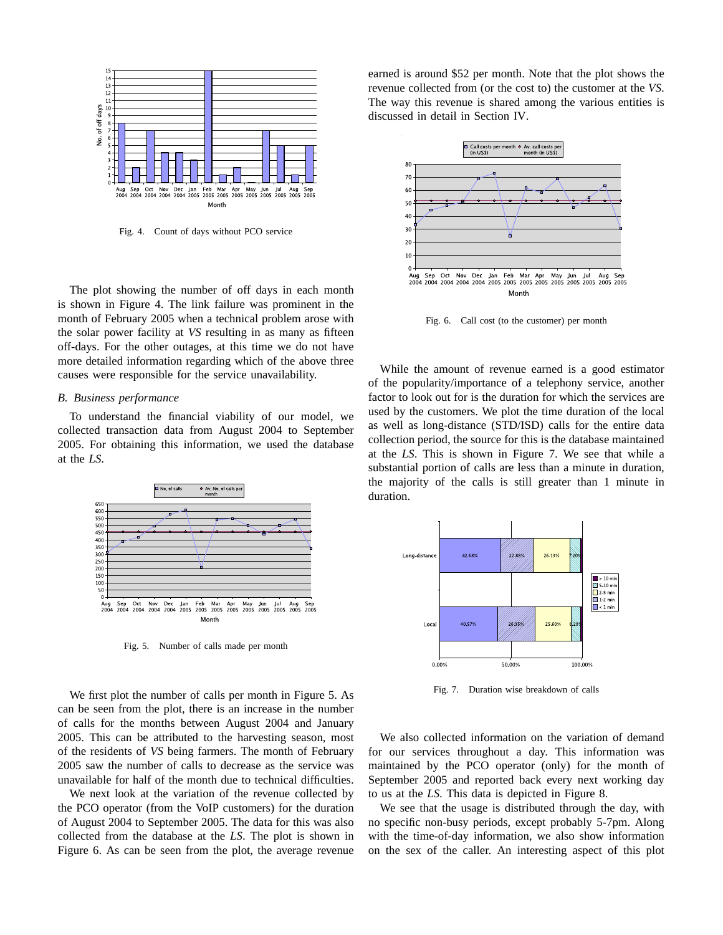

Fig. 4. Count of days without PCO service

The plot showing the number of off days in each month is shown in Figure 4. The link failure was prominent in the month of February 2005 when a technical problem arose with the solar power facility at *VS* resulting in as many as fifteen off-days. For the other outages, at this time we do not have more detailed information regarding which of the above three causes were responsible for the service unavailability.

#### *B. Business performance*

To understand the financial viability of our model, we collected transaction data from August 2004 to September 2005. For obtaining this information, we used the database at the *LS*.



Fig. 5. Number of calls made per month

We first plot the number of calls per month in Figure 5. As can be seen from the plot, there is an increase in the number of calls for the months between August 2004 and January 2005. This can be attributed to the harvesting season, most of the residents of *VS* being farmers. The month of February 2005 saw the number of calls to decrease as the service was unavailable for half of the month due to technical difficulties.

We next look at the variation of the revenue collected by the PCO operator (from the VoIP customers) for the duration of August 2004 to September 2005. The data for this was also collected from the database at the *LS*. The plot is shown in Figure 6. As can be seen from the plot, the average revenue

earned is around \$52 per month. Note that the plot shows the revenue collected from (or the cost to) the customer at the *VS*. The way this revenue is shared among the various entities is discussed in detail in Section IV.



Fig. 6. Call cost (to the customer) per month

While the amount of revenue earned is a good estimator of the popularity/importance of a telephony service, another factor to look out for is the duration for which the services are used by the customers. We plot the time duration of the local as well as long-distance (STD/ISD) calls for the entire data collection period, the source for this is the database maintained at the *LS*. This is shown in Figure 7. We see that while a substantial portion of calls are less than a minute in duration, the majority of the calls is still greater than 1 minute in duration.



Fig. 7. Duration wise breakdown of calls

We also collected information on the variation of demand for our services throughout a day. This information was maintained by the PCO operator (only) for the month of September 2005 and reported back every next working day to us at the *LS*. This data is depicted in Figure 8.

We see that the usage is distributed through the day, with no specific non-busy periods, except probably 5-7pm. Along with the time-of-day information, we also show information on the sex of the caller. An interesting aspect of this plot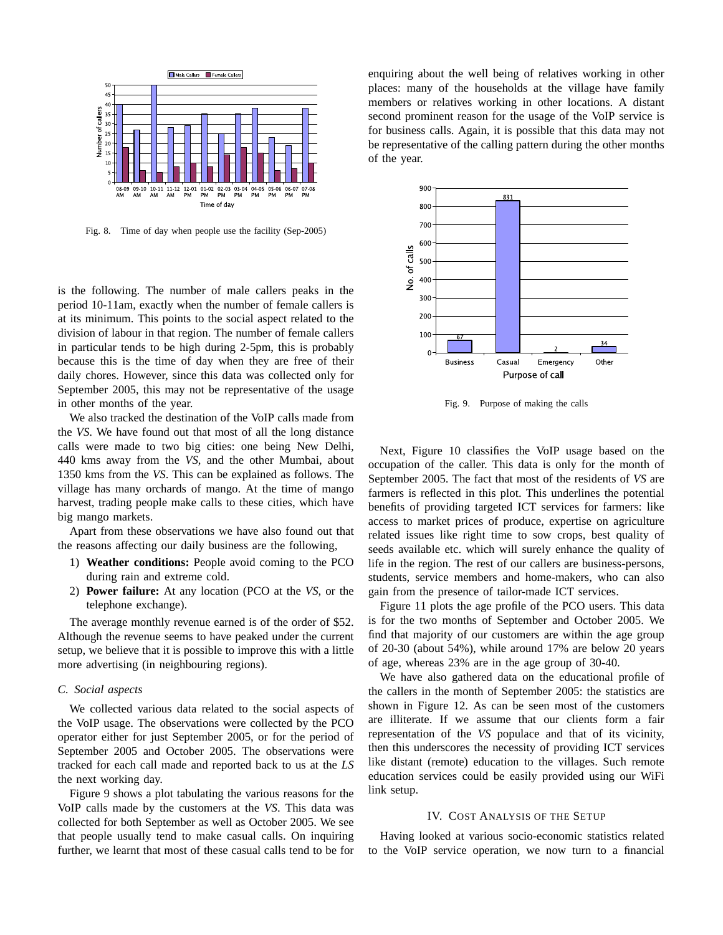

Fig. 8. Time of day when people use the facility (Sep-2005)

is the following. The number of male callers peaks in the period 10-11am, exactly when the number of female callers is at its minimum. This points to the social aspect related to the division of labour in that region. The number of female callers in particular tends to be high during 2-5pm, this is probably because this is the time of day when they are free of their daily chores. However, since this data was collected only for September 2005, this may not be representative of the usage in other months of the year.

We also tracked the destination of the VoIP calls made from the *VS*. We have found out that most of all the long distance calls were made to two big cities: one being New Delhi, 440 kms away from the *VS*, and the other Mumbai, about 1350 kms from the *VS*. This can be explained as follows. The village has many orchards of mango. At the time of mango harvest, trading people make calls to these cities, which have big mango markets.

Apart from these observations we have also found out that the reasons affecting our daily business are the following,

- 1) **Weather conditions:** People avoid coming to the PCO during rain and extreme cold.
- 2) **Power failure:** At any location (PCO at the *VS*, or the telephone exchange).

The average monthly revenue earned is of the order of \$52. Although the revenue seems to have peaked under the current setup, we believe that it is possible to improve this with a little more advertising (in neighbouring regions).

## *C. Social aspects*

We collected various data related to the social aspects of the VoIP usage. The observations were collected by the PCO operator either for just September 2005, or for the period of September 2005 and October 2005. The observations were tracked for each call made and reported back to us at the *LS* the next working day.

Figure 9 shows a plot tabulating the various reasons for the VoIP calls made by the customers at the *VS*. This data was collected for both September as well as October 2005. We see that people usually tend to make casual calls. On inquiring further, we learnt that most of these casual calls tend to be for enquiring about the well being of relatives working in other places: many of the households at the village have family members or relatives working in other locations. A distant second prominent reason for the usage of the VoIP service is for business calls. Again, it is possible that this data may not be representative of the calling pattern during the other months of the year.



Fig. 9. Purpose of making the calls

Next, Figure 10 classifies the VoIP usage based on the occupation of the caller. This data is only for the month of September 2005. The fact that most of the residents of *VS* are farmers is reflected in this plot. This underlines the potential benefits of providing targeted ICT services for farmers: like access to market prices of produce, expertise on agriculture related issues like right time to sow crops, best quality of seeds available etc. which will surely enhance the quality of life in the region. The rest of our callers are business-persons, students, service members and home-makers, who can also gain from the presence of tailor-made ICT services.

Figure 11 plots the age profile of the PCO users. This data is for the two months of September and October 2005. We find that majority of our customers are within the age group of 20-30 (about 54%), while around 17% are below 20 years of age, whereas 23% are in the age group of 30-40.

We have also gathered data on the educational profile of the callers in the month of September 2005: the statistics are shown in Figure 12. As can be seen most of the customers are illiterate. If we assume that our clients form a fair representation of the *VS* populace and that of its vicinity, then this underscores the necessity of providing ICT services like distant (remote) education to the villages. Such remote education services could be easily provided using our WiFi link setup.

## IV. COST ANALYSIS OF THE SETUP

Having looked at various socio-economic statistics related to the VoIP service operation, we now turn to a financial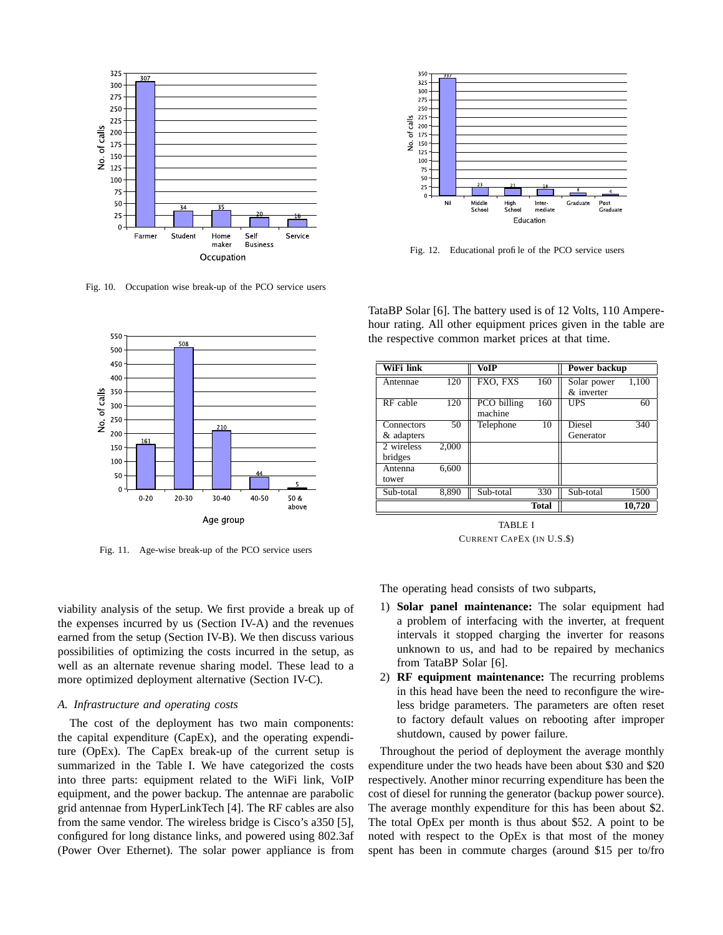

Fig. 10. Occupation wise break-up of the PCO service users



Fig. 11. Age-wise break-up of the PCO service users

viability analysis of the setup. We first provide a break up of the expenses incurred by us (Section IV-A) and the revenues earned from the setup (Section IV-B). We then discuss various possibilities of optimizing the costs incurred in the setup, as well as an alternate revenue sharing model. These lead to a more optimized deployment alternative (Section IV-C).

#### *A. Infrastructure and operating costs*

The cost of the deployment has two main components: the capital expenditure (CapEx), and the operating expenditure (OpEx). The CapEx break-up of the current setup is summarized in the Table I. We have categorized the costs into three parts: equipment related to the WiFi link, VoIP equipment, and the power backup. The antennae are parabolic grid antennae from HyperLinkTech [4]. The RF cables are also from the same vendor. The wireless bridge is Cisco's a350 [5], configured for long distance links, and powered using 802.3af (Power Over Ethernet). The solar power appliance is from



Fig. 12. Educational profile of the PCO service users

TataBP Solar [6]. The battery used is of 12 Volts, 110 Amperehour rating. All other equipment prices given in the table are the respective common market prices at that time.

| WiFi link  |                  | <b>VoIP</b> |              | Power backup  |        |
|------------|------------------|-------------|--------------|---------------|--------|
| Antennae   | 120              | FXO, FXS    | 160          | Solar power   | 1,100  |
|            |                  |             |              | & inverter    |        |
| RF cable   | $\overline{1}20$ | PCO billing | 160          | UPS           | 60     |
|            |                  | machine     |              |               |        |
| Connectors | 50               | Telephone   | 10           | <b>Diesel</b> | 340    |
| & adapters |                  |             |              | Generator     |        |
| 2 wireless | 2,000            |             |              |               |        |
| bridges    |                  |             |              |               |        |
| Antenna    | 6,600            |             |              |               |        |
| tower      |                  |             |              |               |        |
| Sub-total  | 8,890            | Sub-total   | 330          | Sub-total     | 1500   |
|            |                  |             | <b>Total</b> |               | 10.720 |

TABLE I CURRENT CAPEX (IN U.S.\$)

The operating head consists of two subparts,

- 1) **Solar panel maintenance:** The solar equipment had a problem of interfacing with the inverter, at frequent intervals it stopped charging the inverter for reasons unknown to us, and had to be repaired by mechanics from TataBP Solar [6].
- 2) **RF equipment maintenance:** The recurring problems in this head have been the need to reconfigure the wireless bridge parameters. The parameters are often reset to factory default values on rebooting after improper shutdown, caused by power failure.

Throughout the period of deployment the average monthly expenditure under the two heads have been about \$30 and \$20 respectively. Another minor recurring expenditure has been the cost of diesel for running the generator (backup power source). The average monthly expenditure for this has been about \$2. The total OpEx per month is thus about \$52. A point to be noted with respect to the OpEx is that most of the money spent has been in commute charges (around \$15 per to/fro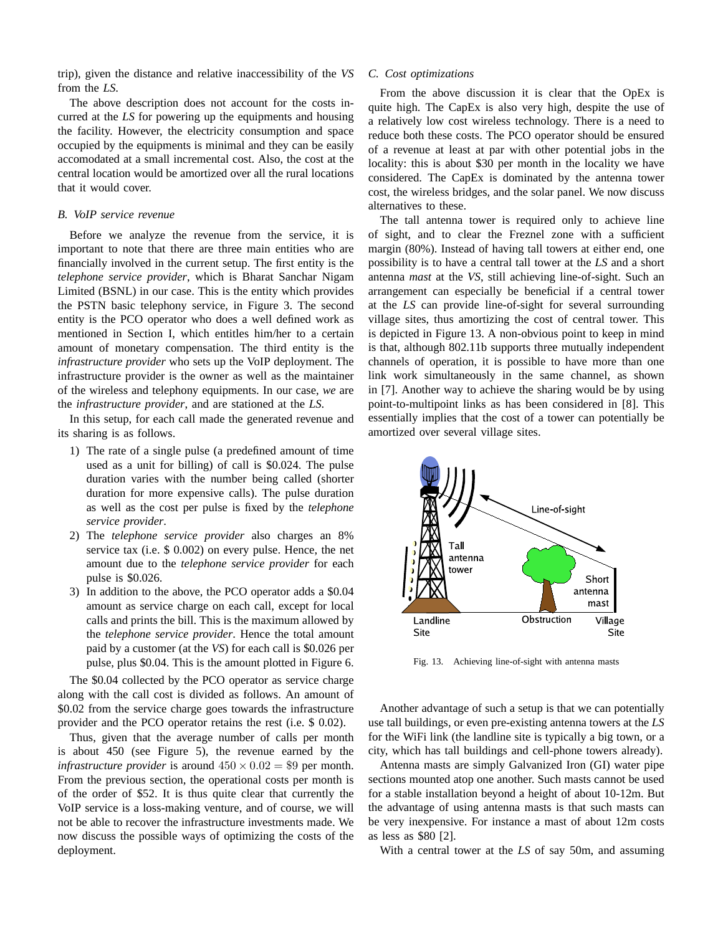trip), given the distance and relative inaccessibility of the *VS* from the *LS*.

The above description does not account for the costs incurred at the *LS* for powering up the equipments and housing the facility. However, the electricity consumption and space occupied by the equipments is minimal and they can be easily accomodated at a small incremental cost. Also, the cost at the central location would be amortized over all the rural locations that it would cover.

## *B. VoIP service revenue*

Before we analyze the revenue from the service, it is important to note that there are three main entities who are financially involved in the current setup. The first entity is the *telephone service provider*, which is Bharat Sanchar Nigam Limited (BSNL) in our case. This is the entity which provides the PSTN basic telephony service, in Figure 3. The second entity is the PCO operator who does a well defined work as mentioned in Section I, which entitles him/her to a certain amount of monetary compensation. The third entity is the *infrastructure provider* who sets up the VoIP deployment. The infrastructure provider is the owner as well as the maintainer of the wireless and telephony equipments. In our case, *we* are the *infrastructure provider*, and are stationed at the *LS*.

In this setup, for each call made the generated revenue and its sharing is as follows.

- 1) The rate of a single pulse (a predefined amount of time used as a unit for billing) of call is \$0.024. The pulse duration varies with the number being called (shorter duration for more expensive calls). The pulse duration as well as the cost per pulse is fixed by the *telephone service provider*.
- 2) The *telephone service provider* also charges an 8% service tax (i.e. \$ 0.002) on every pulse. Hence, the net amount due to the *telephone service provider* for each pulse is \$0.026.
- 3) In addition to the above, the PCO operator adds a \$0.04 amount as service charge on each call, except for local calls and prints the bill. This is the maximum allowed by the *telephone service provider*. Hence the total amount paid by a customer (at the *VS*) for each call is \$0.026 per pulse, plus \$0.04. This is the amount plotted in Figure 6.

The \$0.04 collected by the PCO operator as service charge along with the call cost is divided as follows. An amount of \$0.02 from the service charge goes towards the infrastructure provider and the PCO operator retains the rest (i.e. \$ 0.02).

Thus, given that the average number of calls per month is about 450 (see Figure 5), the revenue earned by the *infrastructure provider* is around  $450 \times 0.02 = $9$  per month. From the previous section, the operational costs per month is of the order of \$52. It is thus quite clear that currently the VoIP service is a loss-making venture, and of course, we will not be able to recover the infrastructure investments made. We now discuss the possible ways of optimizing the costs of the deployment.

### *C. Cost optimizations*

From the above discussion it is clear that the OpEx is quite high. The CapEx is also very high, despite the use of a relatively low cost wireless technology. There is a need to reduce both these costs. The PCO operator should be ensured of a revenue at least at par with other potential jobs in the locality: this is about \$30 per month in the locality we have considered. The CapEx is dominated by the antenna tower cost, the wireless bridges, and the solar panel. We now discuss alternatives to these.

The tall antenna tower is required only to achieve line of sight, and to clear the Freznel zone with a sufficient margin (80%). Instead of having tall towers at either end, one possibility is to have a central tall tower at the *LS* and a short antenna *mast* at the *VS*, still achieving line-of-sight. Such an arrangement can especially be beneficial if a central tower at the *LS* can provide line-of-sight for several surrounding village sites, thus amortizing the cost of central tower. This is depicted in Figure 13. A non-obvious point to keep in mind is that, although 802.11b supports three mutually independent channels of operation, it is possible to have more than one link work simultaneously in the same channel, as shown in [7]. Another way to achieve the sharing would be by using point-to-multipoint links as has been considered in [8]. This essentially implies that the cost of a tower can potentially be amortized over several village sites.



Fig. 13. Achieving line-of-sight with antenna masts

Another advantage of such a setup is that we can potentially use tall buildings, or even pre-existing antenna towers at the *LS* for the WiFi link (the landline site is typically a big town, or a city, which has tall buildings and cell-phone towers already).

Antenna masts are simply Galvanized Iron (GI) water pipe sections mounted atop one another. Such masts cannot be used for a stable installation beyond a height of about 10-12m. But the advantage of using antenna masts is that such masts can be very inexpensive. For instance a mast of about 12m costs as less as \$80 [2].

With a central tower at the *LS* of say 50m, and assuming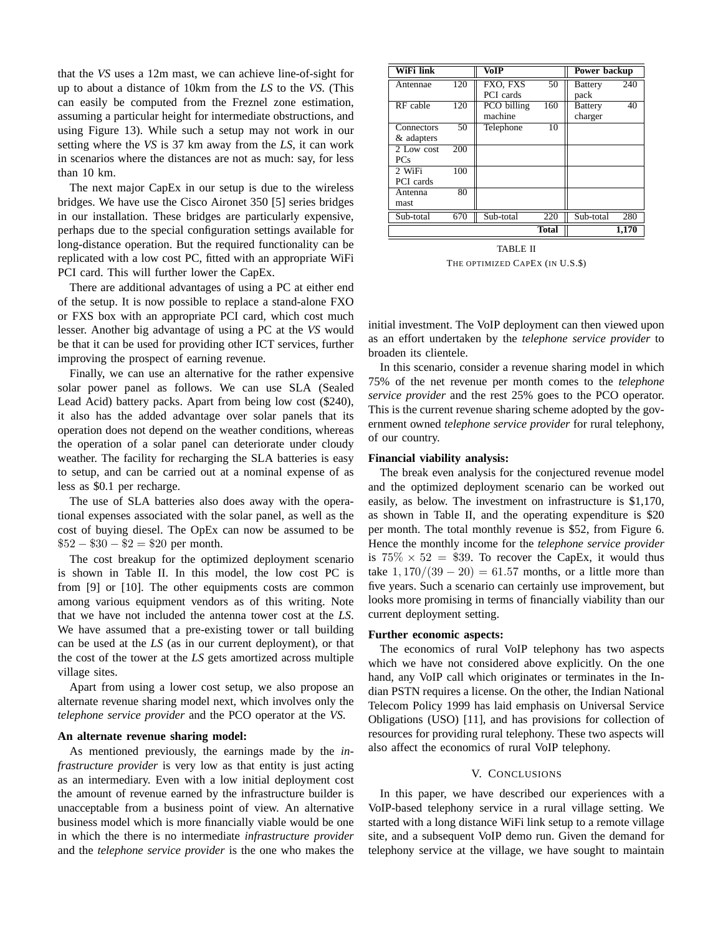that the *VS* uses a 12m mast, we can achieve line-of-sight for up to about a distance of 10km from the *LS* to the *VS*. (This can easily be computed from the Freznel zone estimation, assuming a particular height for intermediate obstructions, and using Figure 13). While such a setup may not work in our setting where the *VS* is 37 km away from the *LS*, it can work in scenarios where the distances are not as much: say, for less than 10 km.

The next major CapEx in our setup is due to the wireless bridges. We have use the Cisco Aironet 350 [5] series bridges in our installation. These bridges are particularly expensive, perhaps due to the special configuration settings available for long-distance operation. But the required functionality can be replicated with a low cost PC, fitted with an appropriate WiFi PCI card. This will further lower the CapEx.

There are additional advantages of using a PC at either end of the setup. It is now possible to replace a stand-alone FXO or FXS box with an appropriate PCI card, which cost much lesser. Another big advantage of using a PC at the *VS* would be that it can be used for providing other ICT services, further improving the prospect of earning revenue.

Finally, we can use an alternative for the rather expensive solar power panel as follows. We can use SLA (Sealed Lead Acid) battery packs. Apart from being low cost (\$240), it also has the added advantage over solar panels that its operation does not depend on the weather conditions, whereas the operation of a solar panel can deteriorate under cloudy weather. The facility for recharging the SLA batteries is easy to setup, and can be carried out at a nominal expense of as less as \$0.1 per recharge.

The use of SLA batteries also does away with the operational expenses associated with the solar panel, as well as the cost of buying diesel. The OpEx can now be assumed to be  $$52 - $30 - $2 = $20$  per month.

The cost breakup for the optimized deployment scenario is shown in Table II. In this model, the low cost PC is from [9] or [10]. The other equipments costs are common among various equipment vendors as of this writing. Note that we have not included the antenna tower cost at the *LS*. We have assumed that a pre-existing tower or tall building can be used at the *LS* (as in our current deployment), or that the cost of the tower at the *LS* gets amortized across multiple village sites.

Apart from using a lower cost setup, we also propose an alternate revenue sharing model next, which involves only the *telephone service provider* and the PCO operator at the *VS*.

#### **An alternate revenue sharing model:**

As mentioned previously, the earnings made by the *infrastructure provider* is very low as that entity is just acting as an intermediary. Even with a low initial deployment cost the amount of revenue earned by the infrastructure builder is unacceptable from a business point of view. An alternative business model which is more financially viable would be one in which the there is no intermediate *infrastructure provider* and the *telephone service provider* is the one who makes the

| WiFi link        |     | VoIP        |                 | Power backup   |       |
|------------------|-----|-------------|-----------------|----------------|-------|
| Antennae         | 120 | FXO, FXS    | 50              | <b>Battery</b> | 240   |
|                  |     | PCI cards   |                 | pack           |       |
| RF cable         | 120 | PCO billing | 160             | <b>Battery</b> | 40    |
|                  |     | machine     |                 | charger        |       |
| Connectors       | 50  | Telephone   | $\overline{10}$ |                |       |
| & adapters       |     |             |                 |                |       |
| 2 Low cost       | 200 |             |                 |                |       |
| PCs              |     |             |                 |                |       |
| 2 WiFi           | 100 |             |                 |                |       |
| <b>PCI</b> cards |     |             |                 |                |       |
| Antenna          | 80  |             |                 |                |       |
| mast             |     |             |                 |                |       |
| Sub-total        | 670 | Sub-total   | 220             | Sub-total      | 280   |
|                  |     |             | <b>Total</b>    |                | 1,170 |

TABLE II

THE OPTIMIZED CAPEX (IN U.S.\$)

initial investment. The VoIP deployment can then viewed upon as an effort undertaken by the *telephone service provider* to broaden its clientele.

In this scenario, consider a revenue sharing model in which 75% of the net revenue per month comes to the *telephone service provider* and the rest 25% goes to the PCO operator. This is the current revenue sharing scheme adopted by the government owned *telephone service provider* for rural telephony, of our country.

## **Financial viability analysis:**

The break even analysis for the conjectured revenue model and the optimized deployment scenario can be worked out easily, as below. The investment on infrastructure is \$1,170, as shown in Table II, and the operating expenditure is \$20 per month. The total monthly revenue is \$52, from Figure 6. Hence the monthly income for the *telephone service provider* is  $75\% \times 52 = $39$ . To recover the CapEx, it would thus take  $1,170/(39-20) = 61.57$  months, or a little more than five years. Such a scenario can certainly use improvement, but looks more promising in terms of financially viability than our current deployment setting.

## **Further economic aspects:**

The economics of rural VoIP telephony has two aspects which we have not considered above explicitly. On the one hand, any VoIP call which originates or terminates in the Indian PSTN requires a license. On the other, the Indian National Telecom Policy 1999 has laid emphasis on Universal Service Obligations (USO) [11], and has provisions for collection of resources for providing rural telephony. These two aspects will also affect the economics of rural VoIP telephony.

## V. CONCLUSIONS

In this paper, we have described our experiences with a VoIP-based telephony service in a rural village setting. We started with a long distance WiFi link setup to a remote village site, and a subsequent VoIP demo run. Given the demand for telephony service at the village, we have sought to maintain